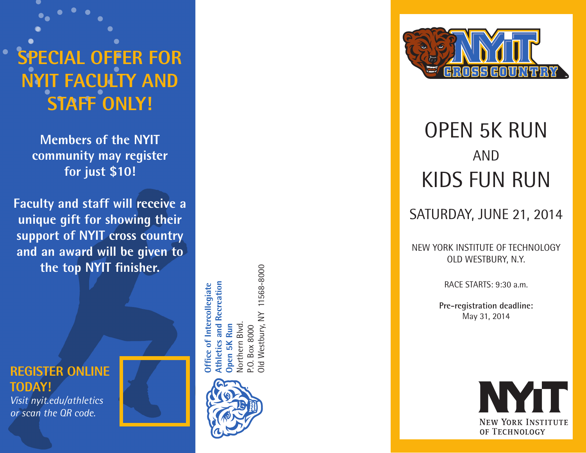# **SPECI AL OFFER FOR NYIT F ACULTY AND STAFF only !**

**Members of the NYIT community may register for just \$10!**

**Faculty and staff will receive a unique gift for showing their support of NYIT cross country and an award will be given to the top NYIT finisher.**





11568-8000 Old Westbury, NY 11568-8000 Recreation **Athletics and Recreation Did Westbury, NY** Northern Blvd. **Open 5K Run Northern Blvd Box 8000** P.O. Box 8000



# OPEN 5K RUN AND KIDS FUN RUN

# SATURDAY, JUNE 21, 2014

NEW YORK INSTITUTE OF TECHNOLOGY OLD WESTBURY, N.Y.

RACE STARTS: 9:30 a.m.

**Pre-registration deadline:**  May 31, 2014